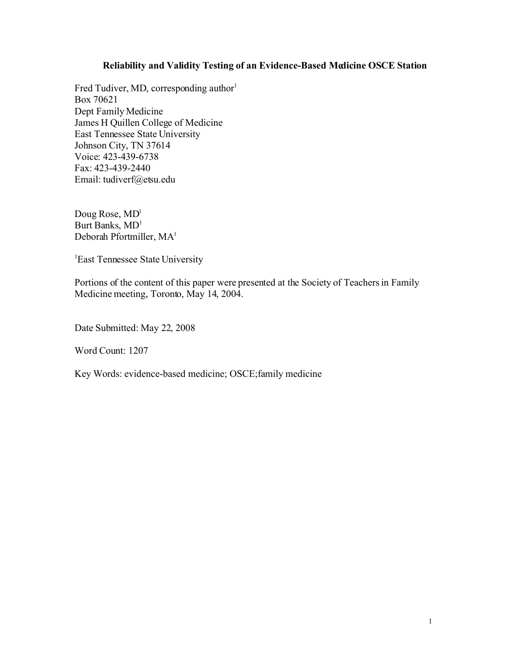# **Reliability and Validity Testing of an Evidence-Based Medicine OSCE Station**

Fred Tudiver, MD, corresponding author<sup>1</sup> Box 70621 Dept Family Medicine James H Quillen College of Medicine East Tennessee State University Johnson City, TN 37614 Voice: 423-439-6738 Fax: 423-439-2440 Email: tudiverf@etsu.edu

Doug Rose,  $MD<sup>1</sup>$ Burt Banks, MD 1 Deborah Pfortmiller, MA<sup>1</sup>

<sup>1</sup>East Tennessee State University

Portions of the content of this paper were presented at the Society of Teachers in Family Medicine meeting, Toronto, May 14, 2004.

Date Submitted: May 22, 2008

Word Count: 1207

Key Words: evidence-based medicine; OSCE; family medicine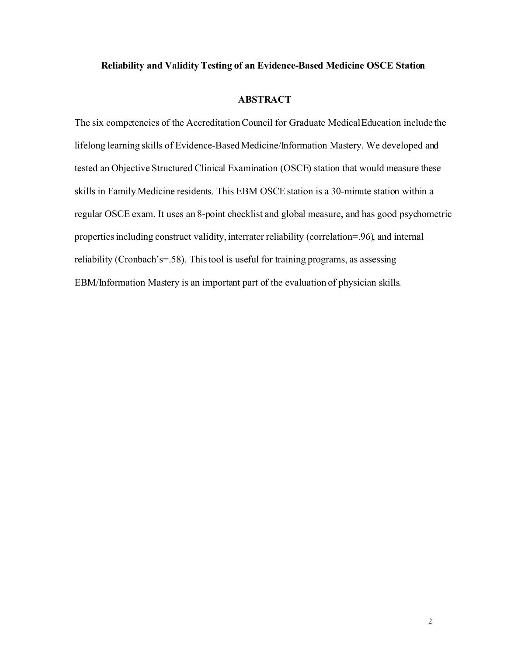## **Reliability and Validity Testing of an Evidence-Based Medicine OSCE Station**

# **ABSTRACT**

The six competencies of the Accreditation Council for Graduate Medical Education include the lifelong learning skills of Evidence-Based Medicine/Information Mastery. We developed and tested an Objective Structured Clinical Examination (OSCE) station that would measure these skills in Family Medicine residents. This EBM OSCE station is a 30-minute station within a regular OSCE exam. It uses an 8-point checklist and global measure, and has good psychometric properties including construct validity, interrater reliability (correlation=.96), and internal reliability (Cronbach's=.58). This tool is useful for training programs, as assessing EBM/Information Mastery is an important part of the evaluation of physician skills.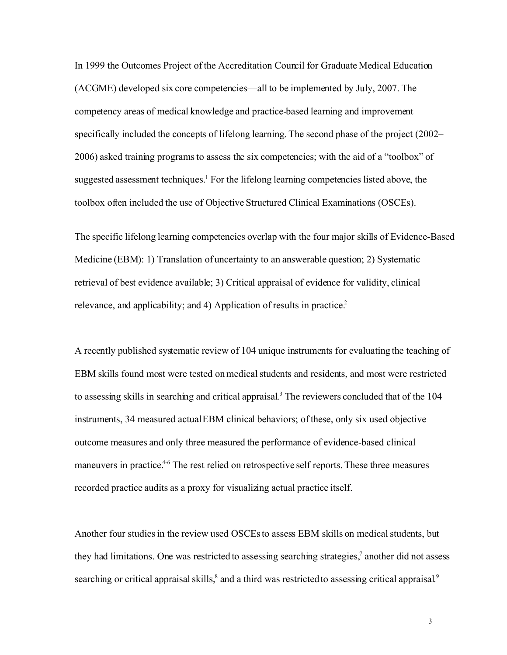In 1999 the Outcomes Project of the Accreditation Council for Graduate Medical Education (ACGME) developed six core competencies—all to be implemented by July, 2007. The competency areas of medical knowledge and practice-based learning and improvement specifically included the concepts of lifelong learning. The second phase of the project (2002– 2006) asked training programs to assess the six competencies; with the aid of a "toolbox" of suggested assessment techniques.<sup>1</sup> For the lifelong learning competencies listed above, the toolbox often included the use of Objective Structured Clinical Examinations (OSCEs).

The specific lifelong learning competencies overlap with the four major skills of Evidence-Based Medicine (EBM): 1) Translation of uncertainty to an answerable question; 2) Systematic retrieval of best evidence available; 3) Critical appraisal of evidence for validity, clinical relevance, and applicability; and 4) Application of results in practice.<sup>2</sup>

A recently published systematic review of 104 unique instruments for evaluating the teaching of EBM skills found most were tested on medical students and residents, and most were restricted to assessing skills in searching and critical appraisal. <sup>3</sup> The reviewers concluded that of the 104 instruments, 34 measured actual EBM clinical behaviors; of these, only six used objective outcome measures and only three measured the performance of evidence-based clinical maneuvers in practice.<sup>4-6</sup> The rest relied on retrospective self reports. These three measures recorded practice audits as a proxy for visualizing actual practice itself.

Another four studies in the review used OSCEs to assess EBM skills on medical students, but they had limitations. One was restricted to assessing searching strategies,<sup>7</sup> another did not assess searching or critical appraisal skills, ${}^{8}$  and a third was restricted to assessing critical appraisal. ${}^{9}$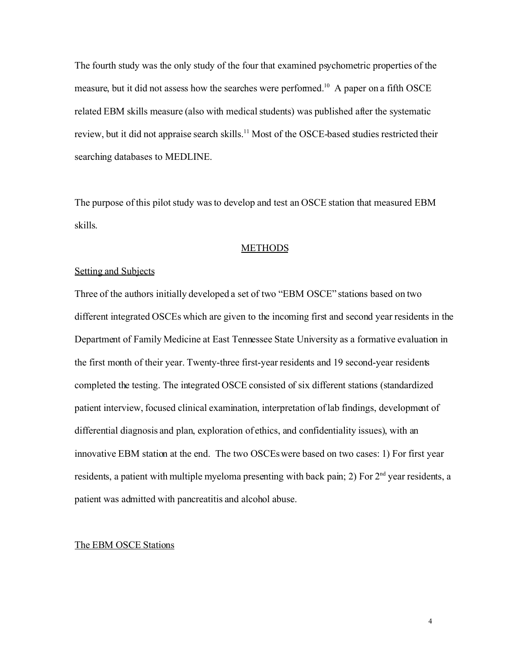The fourth study was the only study of the four that examined psychometric properties of the measure, but it did not assess how the searches were performed.<sup>10</sup> A paper on a fifth OSCE related EBM skills measure (also with medical students) was published after the systematic review, but it did not appraise search skills.<sup>11</sup> Most of the OSCE-based studies restricted their searching databases to MEDLINE.

The purpose of this pilot study was to develop and test an OSCE station that measured EBM skills.

### **METHODS**

## Setting and Subjects

Three of the authors initially developed a set of two "EBM OSCE" stations based on two different integrated OSCEs which are given to the incoming first and second year residents in the Department of Family Medicine at East Tennessee State University as a formative evaluation in the first month of their year. Twenty-three first-year residents and 19 second-year residents completed the testing. The integrated OSCE consisted of six different stations (standardized patient interview, focused clinical examination, interpretation oflab findings, development of differential diagnosis and plan, exploration of ethics, and confidentiality issues), with an innovative EBM station at the end. The two OSCEs were based on two cases: 1) For first year residents, a patient with multiple myeloma presenting with back pain; 2) For  $2<sup>nd</sup>$  year residents, a patient was admitted with pancreatitis and alcohol abuse.

## The EBM OSCE Stations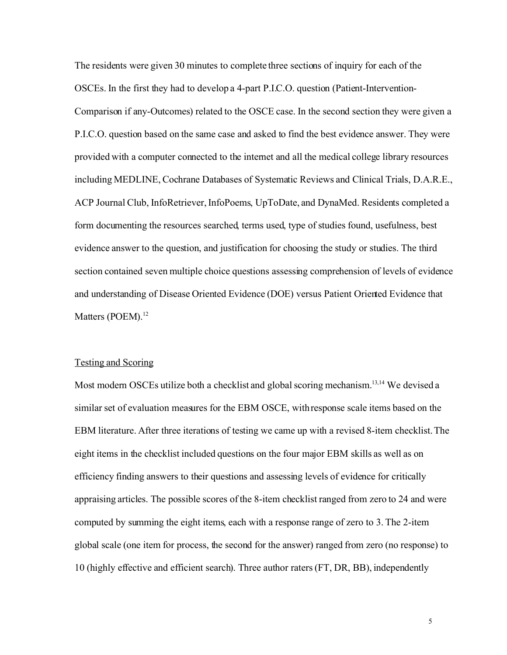The residents were given 30 minutes to complete three sections of inquiry for each of the OSCEs. In the first they had to develop a 4-part P.I.C.O. question (Patient-Intervention-Comparison if any-Outcomes) related to the OSCE case. In the second section they were given a P.I.C.O. question based on the same case and asked to find the best evidence answer. They were provided with a computer connected to the internet and all the medical college library resources including MEDLINE, Cochrane Databases of Systematic Reviews and Clinical Trials, D.A.R.E., ACP Journal Club, InfoRetriever, InfoPoems, UpToDate, and DynaMed. Residents completed a form documenting the resources searched, terms used, type of studies found, usefulness, best evidence answer to the question, and justification for choosing the study or studies. The third section contained seven multiple choice questions assessing comprehension of levels of evidence and understanding of Disease Oriented Evidence (DOE) versus Patient Oriented Evidence that Matters (POEM).<sup>12</sup>

#### Testing and Scoring

Most modern OSCEs utilize both a checklist and global scoring mechanism.<sup>13,14</sup> We devised a similar set of evaluation measures for the EBM OSCE, withresponse scale items based on the EBM literature. After three iterations of testing we came up with a revised 8-item checklist. The eight items in the checklist included questions on the four major EBM skills as well as on efficiency finding answers to their questions and assessing levels of evidence for critically appraising articles. The possible scores of the 8-item checklist ranged from zero to 24 and were computed by summing the eight items, each with a response range of zero to 3. The 2-item global scale (one item for process, the second for the answer) ranged from zero (no response) to 10 (highly effective and efficient search). Three author raters (FT, DR, BB), independently

5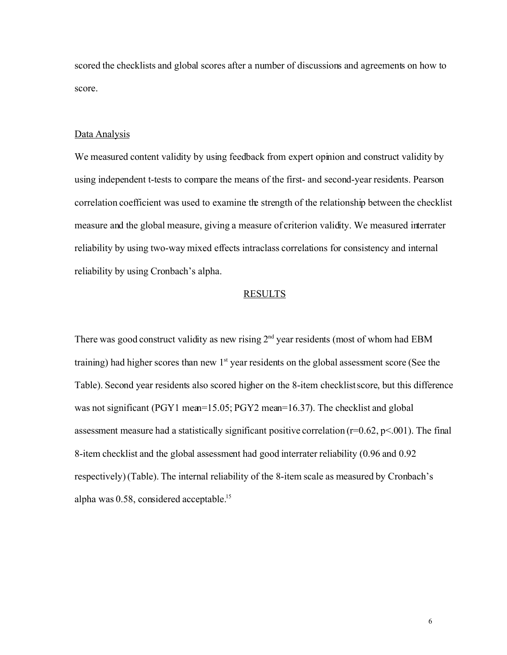scored the checklists and global scores after a number of discussions and agreements on how to score.

## Data Analysis

We measured content validity by using feedback from expert opinion and construct validity by using independent t-tests to compare the means of the first- and second-year residents. Pearson correlation coefficient was used to examine the strength of the relationship between the checklist measure and the global measure, giving a measure of criterion validity. We measured interrater reliability by using two-way mixed effects intraclass correlations for consistency and internal reliability by using Cronbach's alpha.

## RESULTS

There was good construct validity as new rising 2nd year residents (most of whom had EBM training) had higher scores than new  $1<sup>st</sup>$  year residents on the global assessment score (See the Table). Second year residents also scored higher on the 8-item checklist score, but this difference was not significant (PGY1 mean=15.05; PGY2 mean=16.37). The checklist and global assessment measure had a statistically significant positive correlation ( $r=0.62$ ,  $p<.001$ ). The final 8-item checklist and the global assessment had good interrater reliability (0.96 and 0.92 respectively) (Table). The internal reliability of the 8-item scale as measured by Cronbach's alpha was 0.58, considered acceptable.<sup>15</sup>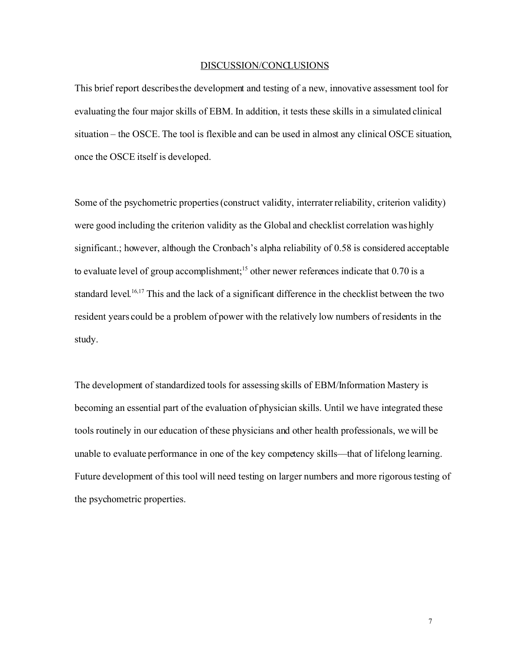#### DISCUSSION/CONCLUSIONS

This brief report describes the development and testing of a new, innovative assessment tool for evaluating the four major skills of EBM. In addition, it tests these skills in a simulated clinical situation – the OSCE. The tool is flexible and can be used in almost any clinical OSCE situation, once the OSCE itself is developed.

Some of the psychometric properties (construct validity, interrater reliability, criterion validity) were good including the criterion validity as the Global and checklist correlation was highly significant.; however, although the Cronbach's alpha reliability of 0.58 is considered acceptable to evaluate level of group accomplishment;<sup>15</sup> other newer references indicate that 0.70 is a standard level.<sup>16,17</sup> This and the lack of a significant difference in the checklist between the two resident years could be a problem of power with the relatively low numbers of residents in the study.

The development of standardized tools for assessing skills of EBM/Information Mastery is becoming an essential part of the evaluation of physician skills. Until we have integrated these tools routinely in our education of these physicians and other health professionals, we will be unable to evaluate performance in one of the key competency skills—that of lifelong learning. Future development of this tool will need testing on larger numbers and more rigorous testing of the psychometric properties.

7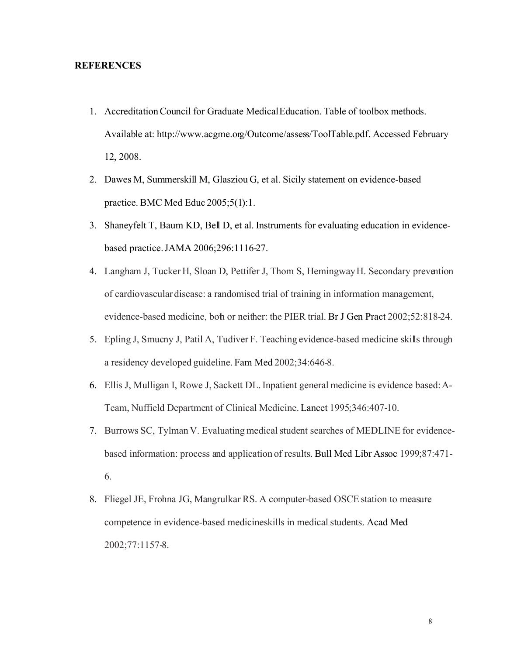## **REFERENCES**

- 1. Accreditation Council for Graduate Medical Education. Table of toolbox methods. Available at: http://www.acgme.org/Outcome/assess/ToolTable.pdf. Accessed February 12, 2008.
- 2. Dawes M, Summerskill M, Glasziou G, et al. Sicily statement on evidence-based practice. BMC Med Educ 2005;5(1):1.
- 3. Shaneyfelt T, Baum KD, Bell D, et al. Instruments for evaluating education in evidencebased practice.JAMA 2006;296:1116-27.
- 4. Langham J, Tucker H, Sloan D, Pettifer J, Thom S, Hemingway H. Secondary prevention of cardiovascular disease: a randomised trial of training in information management, evidence-based medicine, both or neither: the PIER trial. Br J Gen Pract 2002;52:818-24.
- 5. Epling J, Smucny J, Patil A, Tudiver F. Teaching evidence-based medicine skills through a residency developed guideline. Fam Med 2002;34:646-8.
- 6. Ellis J, Mulligan I, Rowe J, Sackett DL. Inpatient general medicine is evidence based: A-Team, Nuffield Department of Clinical Medicine. Lancet 1995;346:407-10.
- 7. Burrows SC, Tylman V. Evaluating medical student searches of MEDLINE for evidencebased information: process and application of results. Bull Med Libr Assoc 1999;87:471- 6.
- 8. Fliegel JE, Frohna JG, Mangrulkar RS. A computer-based OSCE station to measure competence in evidence-based medicine skills in medical students. Acad Med 2002;77:1157-8.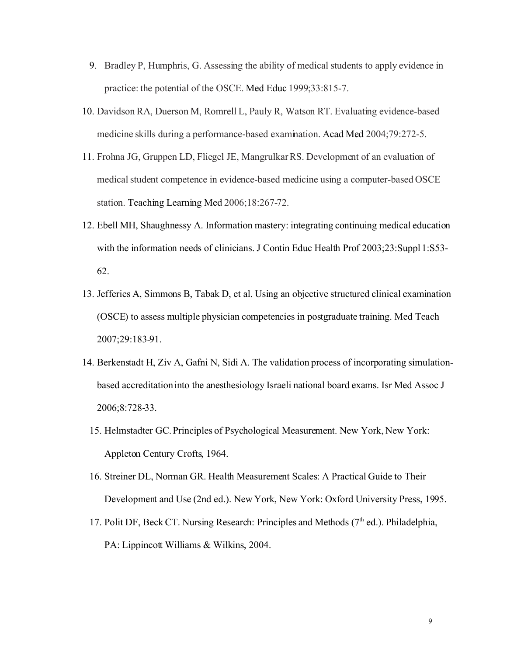- 9. Bradley P, Humphris, G. Assessing the ability of medical students to apply evidence in practice: the potential of the OSCE. Med Educ 1999;33:815-7.
- 10. Davidson RA, Duerson M, Romrell L, Pauly R, Watson RT. Evaluating evidence-based medicine skills during a performance-based examination. Acad Med 2004;79:272-5.
- 11. Frohna JG, Gruppen LD, Fliegel JE, Mangrulkar RS. Development of an evaluation of medical student competence in evidence-based medicine using a computer-based OSCE station. Teaching Learning Med 2006;18:267-72.
- 12. Ebell MH, Shaughnessy A. Information mastery: integrating continuing medical education with the information needs of clinicians. J Contin Educ Health Prof 2003;23:Suppl 1:S53-62.
- 13. Jefferies A, Simmons B, Tabak D, et al. Using an objective structured clinical examination (OSCE) to assess multiple physician competencies in postgraduate training. Med Teach 2007;29:183-91.
- 14. Berkenstadt H, Ziv A, Gafni N, Sidi A. The validation process of incorporating simulationbased accreditation into the anesthesiology Israeli national board exams. Isr Med Assoc J 2006;8:728-33.
	- 15. Helmstadter GC.Principles of Psychological Measurement. New York, New York: Appleton Century Crofts, 1964.
	- 16. Streiner DL, Norman GR. Health Measurement Scales: A Practical Guide to Their Development and Use (2nd ed.). New York, New York: Oxford University Press, 1995.
	- 17. Polit DF, Beck CT. Nursing Research: Principles and Methods ( $7<sup>th</sup>$  ed.). Philadelphia, PA: Lippincott Williams & Wilkins, 2004.